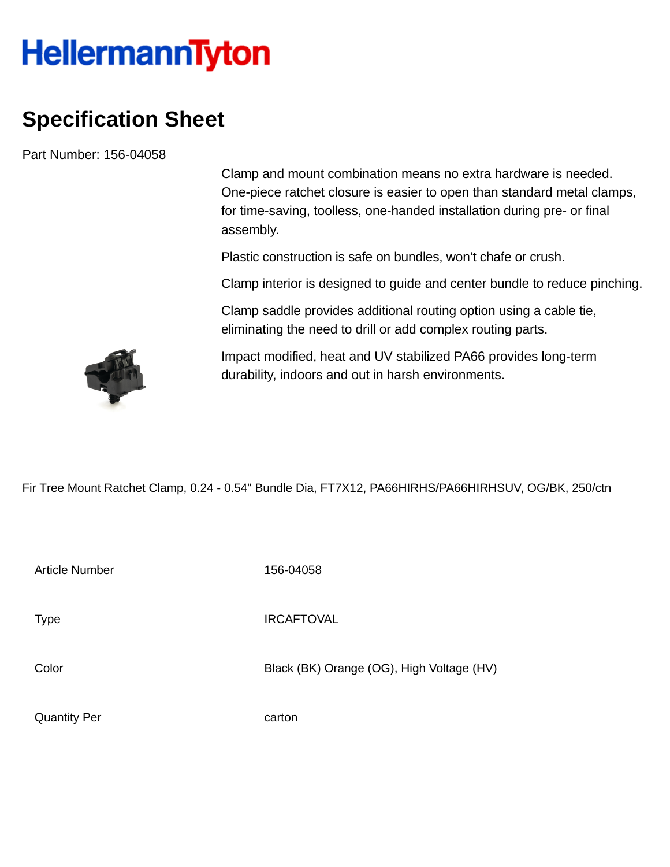## **HellermannTyton**

## **Specification Sheet**

Part Number: 156-04058

Clamp and mount combination means no extra hardware is needed. One-piece ratchet closure is easier to open than standard metal clamps, for time-saving, toolless, one-handed installation during pre- or final assembly.

Plastic construction is safe on bundles, won't chafe or crush.

Clamp interior is designed to guide and center bundle to reduce pinching.

Clamp saddle provides additional routing option using a cable tie, eliminating the need to drill or add complex routing parts.

Impact modified, heat and UV stabilized PA66 provides long-term durability, indoors and out in harsh environments.

Fir Tree Mount Ratchet Clamp, 0.24 - 0.54" Bundle Dia, FT7X12, PA66HIRHS/PA66HIRHSUV, OG/BK, 250/ctn

Article Number 156-04058 Type IRCAFTOVAL Color Black (BK) Orange (OG), High Voltage (HV) Quantity Per carton

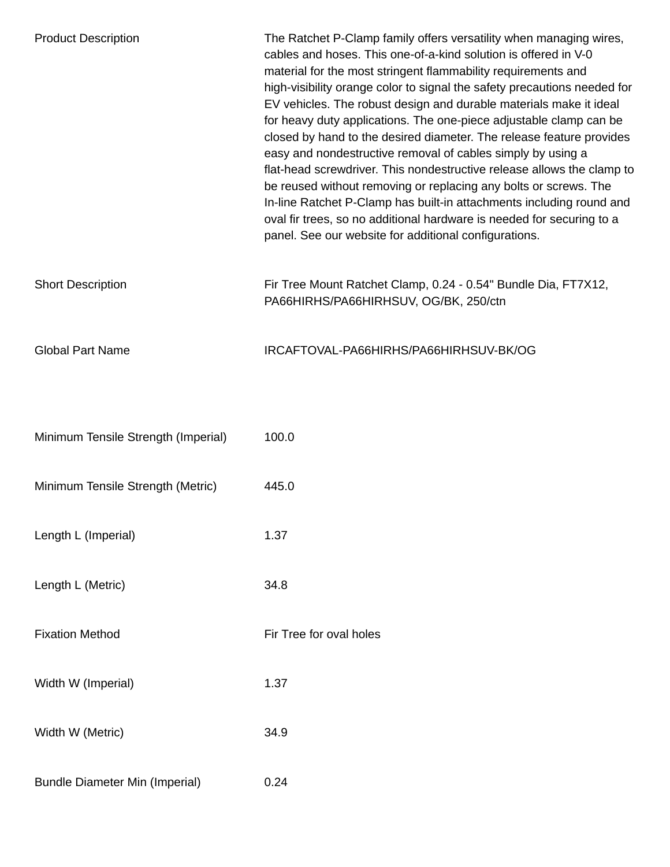| <b>Product Description</b>            | The Ratchet P-Clamp family offers versatility when managing wires,<br>cables and hoses. This one-of-a-kind solution is offered in V-0<br>material for the most stringent flammability requirements and<br>high-visibility orange color to signal the safety precautions needed for<br>EV vehicles. The robust design and durable materials make it ideal<br>for heavy duty applications. The one-piece adjustable clamp can be<br>closed by hand to the desired diameter. The release feature provides<br>easy and nondestructive removal of cables simply by using a<br>flat-head screwdriver. This nondestructive release allows the clamp to<br>be reused without removing or replacing any bolts or screws. The<br>In-line Ratchet P-Clamp has built-in attachments including round and<br>oval fir trees, so no additional hardware is needed for securing to a<br>panel. See our website for additional configurations. |
|---------------------------------------|-------------------------------------------------------------------------------------------------------------------------------------------------------------------------------------------------------------------------------------------------------------------------------------------------------------------------------------------------------------------------------------------------------------------------------------------------------------------------------------------------------------------------------------------------------------------------------------------------------------------------------------------------------------------------------------------------------------------------------------------------------------------------------------------------------------------------------------------------------------------------------------------------------------------------------|
| <b>Short Description</b>              | Fir Tree Mount Ratchet Clamp, 0.24 - 0.54" Bundle Dia, FT7X12,<br>PA66HIRHS/PA66HIRHSUV, OG/BK, 250/ctn                                                                                                                                                                                                                                                                                                                                                                                                                                                                                                                                                                                                                                                                                                                                                                                                                       |
| <b>Global Part Name</b>               | IRCAFTOVAL-PA66HIRHS/PA66HIRHSUV-BK/OG                                                                                                                                                                                                                                                                                                                                                                                                                                                                                                                                                                                                                                                                                                                                                                                                                                                                                        |
| Minimum Tensile Strength (Imperial)   | 100.0                                                                                                                                                                                                                                                                                                                                                                                                                                                                                                                                                                                                                                                                                                                                                                                                                                                                                                                         |
| Minimum Tensile Strength (Metric)     | 445.0                                                                                                                                                                                                                                                                                                                                                                                                                                                                                                                                                                                                                                                                                                                                                                                                                                                                                                                         |
| Length L (Imperial)                   | 1.37                                                                                                                                                                                                                                                                                                                                                                                                                                                                                                                                                                                                                                                                                                                                                                                                                                                                                                                          |
| Length L (Metric)                     | 34.8                                                                                                                                                                                                                                                                                                                                                                                                                                                                                                                                                                                                                                                                                                                                                                                                                                                                                                                          |
| <b>Fixation Method</b>                | Fir Tree for oval holes                                                                                                                                                                                                                                                                                                                                                                                                                                                                                                                                                                                                                                                                                                                                                                                                                                                                                                       |
| Width W (Imperial)                    | 1.37                                                                                                                                                                                                                                                                                                                                                                                                                                                                                                                                                                                                                                                                                                                                                                                                                                                                                                                          |
| Width W (Metric)                      | 34.9                                                                                                                                                                                                                                                                                                                                                                                                                                                                                                                                                                                                                                                                                                                                                                                                                                                                                                                          |
| <b>Bundle Diameter Min (Imperial)</b> | 0.24                                                                                                                                                                                                                                                                                                                                                                                                                                                                                                                                                                                                                                                                                                                                                                                                                                                                                                                          |